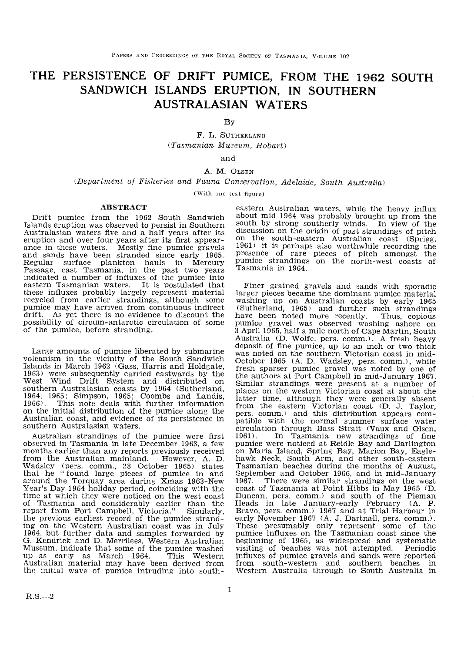# THE PERSISTENCE OF DRIFT PUMICE, FROM THE 1962 SOUTH SANDWICH ISLANDS ERUPTION, IN SOUTHERN AUSTRALASIAN WATERS

By

F. L. SUTHERLAND (Tasmanian Museum, Hobart)

and

# A. M, OLSEN

(Department of Fisheries and Fauna Conservation, Adelaide, South Australia)

(With one text figure)

# ABSTRACT

Drift pumice from the 1962 South Sandwich Islands eruption was observed to persist in Southern Australasian waters five and a half years after its eruption and over four years after its first appear-<br>ance in these waters. Mostly fine pumice gravels and sands have been stranded since early 1965. Regular surface plankton hauls in Mercury Passage, east Tasmania, in the past two years indicated a number of influxes of the pumice into eastern Tasmanian waters. It is postulated that these influxes probably largely represent material recycled from earlier strandings, although some pumice may have arrived from continuous indirect drift. As yet there is no evidence to discount the possibility of circum-antarctic circulation of some of the pumice, before stranding.

Large amounts of pumice liberated by submarine volcanism in the vicinity of the South Sandwich Islands in March 1962 (Gass, Harris and Holdgate, 1963) were subsequently carried eastwards by the West Wind Drift System and distributed on<br>southern Australasian coasts by 1964 (Sutherland,<br>1964, 1965; Simpson, 1965; Coombs and Landis,<br>1966). This note deals with further information<br>on the initial distribution of the p on the initial distribution of the pumice along the<br>Australian coast, and evidence of its persistence in southern Australasian waters.

Australian strandings of the pumice were first observed in Tasmania in late December 1963, a few months earlier than any reports previously received from the Australian mainland. However, A. D. Wadsley (pers. comm., 28 October 1965) states that he "found large pieces of pumice in and around the Torquay area during Xmas 1963-New Year's Day 1964 holiday period, coinciding with the time at which they were noticed on the west coast of Tasmania and considerably earlier than the report from Port Campbell, Victoria." Similarly, the previous earliest record of the pumice strand-<br>the previous earliest record of the pumice stranding on the Western Australian coast was in July 1964, but further data and samples forwarded by G. Kendrick. and D. Merrilees. Western Australian Museum, indicate that some of the pumice washed up as early as March 1964. This Western Australian material may have been derived from the initial wave of pumice intruding into southeastern Australian waters, while the heavy influx about mid 1964 was probably brought up from the south by strong southerly winds. In view of the discussion on the origin of past strandings of pitch on the south-eastern Australian coast (Sprigg, 1961) it is perhaps also worthwhile recording the presence of rare pieces of pitch amongst the pumice strandings on the north-west coasts of Tasmania in 1964.

Finer grained gravels and sands with sporadic larger pieees became the dominant pumice material washing up on Australian coasts by early 1965<br>(Sutherland, 1965) and further such strandings have been noted more recently. Thus, copious pumice gravel was observed washing ashore on 3 April 1965, half a mile north of Cape Martin, South Australia (D. Wolfe, pers. comm.). A fresh heavy deposit of fine pumice, up to an inch or two thick was noted on the southern Victorian coast in mid-October 1965 (A. D. Wadsley, pers. comm.), while fresh sparser pumice gravel was noted by one of the authors at Port Campbell in mid-January 1967. Similar strandings were present at a number of places on the western Viotorian coast at about the latter time, although they were generally absent from the eastern Victorian coast (D. J. Taylor, pers. comm.) and this distribution appears compatible with the normal summer surface water circulation through Bass Strait (Vaux and Olsen, 1961). In Tasmania new strandings of fine<br>pumice were noticed at Reidle Bay and Darlington on Maria Island, Spring Bay, Marion Bay, Eaglehawk Neck, South Arm, and other south-eastern Tasmanian beaches during the months of August, September and October 1966, and in mid-January There were similar strandings on the west coast of Tasmania at Point Hibbs in May 1965 (D. Duncan, pers. comm.) and south of the Pieman Heads in late January-early February (A. P. Bravo, pers. comm.) 1967 and at Trial Harbour in early November 1967 (A. J. Dartnall, pers. comm.). These presumably only represent some of the pumice influxes on the Tasmanian coast since the beginning of 1965, as widespread and systematic visiting of beaches was not attempted. Periodic influxes of pumice gravels and sands were reported from south-western and southern beaches in Western Australia through to South Australia in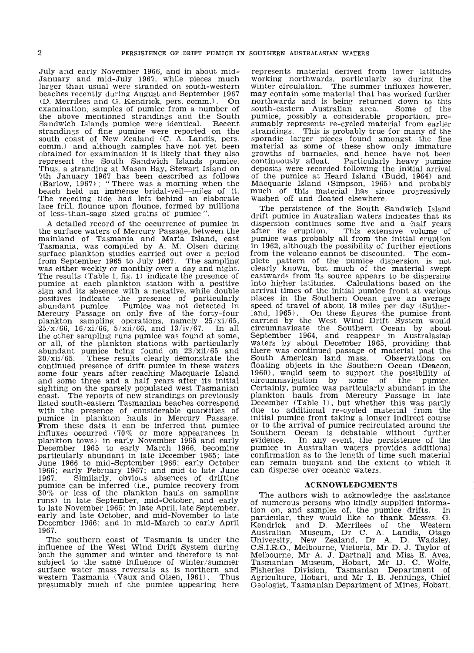July and early November 1966, and in about mid-January and mid-July 1967, while pieces much larger than usual were stranded on south-western beaches recently during August and September 1967 (D. Merrilees and G. Kendrick, pers. comm.). On examination, samples of pumice from a number of the above mentioned strandings and the South Sandwich Islands pumice were identical. Recent strandings of fine pumice were reported on the<br>south coast of New Zealand (C, A, Landis, pers. comm,) and although samples have not yet been obtained for examination it is likely that they also represent the South Sandwich Islands pumice.<br>Thus, a stranding at Mason Bay, Stewart Island on Thus, a stranding at Mason Bay, Stewart Island on<br>7th January 1967 has been described as follows<br>(Barlow, 1967); "There was a morning when the beach held an immense bridal-veil-miles of it. The receding tide had left behind an elaborate lace frill, flounce upon flounce, formed by millions of less-than-sago sized grains of pumice".

A detailed record of the occurrence of pumice in the surface waters of Mercury Passage, between the mainland of Tasmania and Maria Island, east Tasmania, was compiled by A. M. Olsen during surface plankton studies carried out over a period was either weekly or monthly over a day and night. The results (Table 1, fig. 1) indicate the presence of pumice at each plankton station with a positive sign and its absence with a negative, while double positives indicate the presence of particularly abundant pumice. Pumice was not detected in Mercury Passage on only five of the forty-four plankton sampling operations, namely 25/xi/65,  $25/x/66$ ,  $16/xi/66$ ,  $5/xii/66$ , and  $13/iv/67$ . In all the other sampling runs pumice was found at some, or all, of the plankton stations with particularly abundant pumice being found on  $23/xii/65$  and  $30/xii/65$ . These results clearly demonstrate the  $30/xii/65$ . These results clearly demonstrate the continued presence of drift pumice in these waters some four years after reaching Macquarie Island and some three and a half years after its initial sighting on the sparsely populated west Tasmanian coast. The reports of new strandings on previously The reports of new strandings on previously listed south-eastern Tasmanian beaches correspond with the presence of considerable quantities of pumice in plankton hauls in Mercury Passage. From these data it can be inferred that pumice influxes occurred  $(70\%$  or more appearances in plankton tows) in early November 1965 and early December 1965 to early March 1966, becoming particularly abundant in late December 1965; late June 1966 to mid-September 1966; early October 1966; early February 1967; and mid to late June 1967. Similarly, obvious absences of drifting pumice can be inferred (Le., pumice recovery from pumice can be inferred (i.e., pumice recovery from  $30\%$  or less of the plankton hauls on sampling runs) in late September, mid-October, and early to late November 1965; in late April, late September, early and late October, and mid-November to late December 1966; and in mid-March to early April 1967.

The southern coast of Tasmania is under the influence of the West Wind Drift System during both the summer and winter and therefore is not subject to the same influence of winter/summer surface water mass reversals as is northern and western Tasmania (Vaux and Olsen, 1961). Thus presumably much of the pumice appearing here

represents material derived from lower latitudes working northwards, particularly so during the winter circulation. The summer influxes however, may contain some material that has worked further northwards and is being returned down to this south-eastern Australian area. pumice, possibly a considerable proportion, presumably represents re-cycled material from earlier strandings. This is probably true for many of the sporadic larger pieces found amongst the fine material as some of these show only immature growths of barnacles, and hence have not been continuously afloat. Particularly heavy pumice deposits were recorded following the initial arrival of the pumice at Heard Island (Budd, 1964) and Macquarie Island (Simpson, 1965) and probably much of this material has since progressively washed off and floated elsewhere.

The persistence of the South Sandwich Island drift pumice in Australian waters indicates that its dispersion continues some five and a half years<br>after its eruption. This extensive volume of This extensive volume of pumice was probably all from the initial eruption in 1962, although the possibility of further ejections plete pattern of the pumice dispersion is not clearly known, but much of the material swept eastwards from its source appears to be dispersing into higher latitudes. Calculations based on the arrival times of the initial pumice front at various places in the Southern Ocean gave an average speed of travel of about 18 miles per day (Sutherland,  $1965$ ). On these figures the pumice front carried by the West Wind Drift System would circumnavigate the Southern Ocean by about September 1964, and reappear in Australasian waters by about December 1965, providing that there was continued passage of material past the South American land mass. Observations on floating objects in the Southern Ocean (Deacon, 1960), would seem to support the possibility of circumnavigation by some of Certainly, pumice was particularly abundant in the plankton hauls from Mercury Passage in late December (Table 1), but whether this was partly due to additional re-cycled material from the initial pumice front taking a longer indirect course or to the arrival of pumice recirculated around the Southern Ocean is debatable without further<br>evidence. In any event, the persistence of the In any event, the persistence of the pumice in Australian waters provides additional confirmation as to the length of time such material can remain buoyant and the extent to which it can disperse over oceanic waters.

#### ACKNOWLEDGMENTS

The authors wish to acknowledge the assistance of numerous persons who kindly supplied information on, and samples of, the pumice drifts. In particular, they would like to thank Messrs. G. Kendrick and D. Merrilees of the Western Australian Museum, Dr C. A. Landis, Ot.ago University, New Zealand, Dr A. D. Wadsley, C.S,LR.O., Melbourne, Victoria, Mr D. J. Taylor of Melbourne, Mr A. J. Dartnall and Miss E. Aves, Tasmanian Museum, Hobart, Mr D. C. Wolfe, Fisheries Division, Tasmanian Department of Agriculture, Hobart, and Mr I. B. Jennings, Chief Geologist, Tasmanian Department of Mines, Hobart.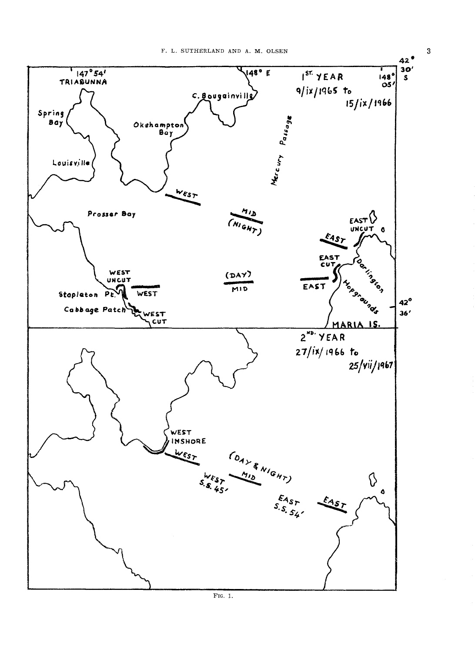

FIG. 1.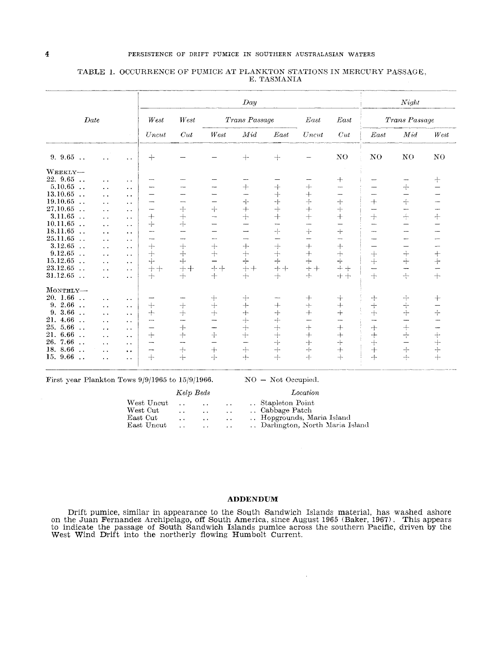# 4 PERSISTENCE OF DRIFT PUMICE IN SOUTHERN AUSTRALASIAN WATERS

# TABLE 1. OCCURRENCE OF PUMICE AT PLANKTON STATIONS IN MERCURY PASSAGE, E. TASMANIA

|                                  |                      |                      |                          |                          |                          | Day                      |                          |                               |                                          |                          | Night                       |                          |
|----------------------------------|----------------------|----------------------|--------------------------|--------------------------|--------------------------|--------------------------|--------------------------|-------------------------------|------------------------------------------|--------------------------|-----------------------------|--------------------------|
| Date                             |                      |                      | West                     | West                     | Trans Passage            |                          |                          | East                          | East                                     | Trans Passage            |                             |                          |
|                                  |                      |                      | Uncut                    | Cut                      | West                     | Mid                      | East                     | Uncut                         | Cut                                      | East                     | Mid                         | West                     |
| 9.9.65                           |                      | . .                  | $+$                      |                          |                          | $+$                      | $+$                      |                               | NO                                       | N <sub>0</sub>           | N <sub>0</sub>              | NO                       |
| WEEKLY-                          |                      |                      |                          |                          |                          |                          |                          |                               |                                          |                          |                             |                          |
| 22.9.65                          | . .                  | $\ddot{\phantom{0}}$ |                          |                          |                          |                          |                          |                               | $^{+}$                                   |                          |                             | $+$                      |
| 5.10.65<br>$\ddotsc$             | . .                  | $\ddot{\phantom{a}}$ |                          |                          |                          | $+$                      | $^{+}$                   | $+$                           |                                          |                          | $\div$                      |                          |
| 13.10.65<br>$\ddotsc$            | . .                  | . .                  |                          |                          |                          |                          | $^{+}$                   | $^{+}$                        | --                                       | $\overline{\phantom{a}}$ | —                           | -                        |
| 19.10.65<br>$\ddotsc$            | . .                  | $\ddot{\phantom{0}}$ | ---                      | -                        |                          | $+$                      | $+$                      | 수                             | $+$                                      | $+$                      | $ \leftarrow$               | $\overline{\phantom{a}}$ |
| 27,10.65<br>$\ddot{\phantom{a}}$ | . .                  | $\cdot$ .            |                          | $+$                      | $+$                      | $+$                      | +                        | $+$                           | $+$                                      |                          | -                           | ----                     |
| 3.11.65<br>$\ddot{\phantom{a}}$  | $\ddot{\phantom{0}}$ | $\ddot{\phantom{a}}$ | $+$                      | $+$                      |                          | $+$                      | $+$                      | $+$                           | $+$                                      | $+$                      | $\div$                      | $+$                      |
| 10.11.65<br>$\ddotsc$            | . .                  | $\ddot{\phantom{1}}$ | $+$                      | $+$                      |                          |                          | $\overline{\phantom{0}}$ |                               |                                          |                          |                             |                          |
| 18.11.65<br>$\ddotsc$            | . .                  | $\ddot{\phantom{1}}$ | —                        | $\overline{\phantom{0}}$ |                          |                          | 구                        | $\dashv$                      | $+$                                      |                          |                             |                          |
| 25.11.65<br>$\ddot{\phantom{0}}$ | . .                  | $\ddot{\phantom{1}}$ | ----                     |                          | $\overline{\phantom{a}}$ |                          | -                        |                               |                                          |                          |                             | ÷,                       |
| 3.12.65<br>$\ddotsc$             | $\ddot{\phantom{1}}$ | $\ddot{\phantom{a}}$ | $+$                      | $+$                      | $\pm$                    | $\hspace{0.1mm} +$       | $+$                      | $+$                           | $+$                                      |                          |                             |                          |
| 9.12.65<br>$\ddot{\phantom{0}}$  | . .                  | $\ddot{\phantom{0}}$ | $+$                      | $+$                      | $+$                      | $+$                      | $+$                      | $+$                           | $+$                                      | $+$                      | $\stackrel{1}{\rightarrow}$ | $+$                      |
| 15.12.65<br>$\ddot{\phantom{0}}$ | $\ddot{\phantom{a}}$ | $\ddot{\phantom{a}}$ | $+$                      | $+$                      |                          | --                       | 4                        | $+$                           | $+$                                      | $+$                      | $+$                         | $+$                      |
| 23.12.65<br>$\ddot{\phantom{0}}$ | . .                  | $\cdot$ .            | $++$                     | $++$                     | $++$                     | $++$                     | $++$                     | $+ +$                         | $+ +$                                    |                          | ---                         |                          |
| 31.12.65<br>$\ddots$             | . .                  | $\cdot$ .            | $+$                      | $+$                      | $+$                      | $+$                      | $+$                      | $+$                           | $+ +$                                    | $+$                      | $\frac{1}{1}$               | $+$                      |
| MONTHLY-                         |                      |                      |                          |                          |                          |                          |                          |                               |                                          |                          |                             |                          |
| 20. 1.66<br>$\ddot{\phantom{a}}$ | $\ddot{\phantom{1}}$ | $\ddot{\phantom{1}}$ |                          |                          | $+$                      | $+$                      |                          | $^{+}$                        | ╅                                        | $^{+}$                   | $\div$                      | $^{+}$                   |
| 2.66<br>9.<br>$\ddotsc$          | $\ddot{\phantom{0}}$ | $\ddot{\phantom{0}}$ | $+$                      | $+$                      | $+$                      | $+$                      | $^{+}$                   | $+$                           | $+$                                      | $\!+\!$                  |                             |                          |
| 3.66<br>9.<br>$\ddotsc$          | $\ddot{\phantom{0}}$ | $\ddot{\phantom{0}}$ | $+$                      | $+$                      | $+$                      | $+$                      | $+$                      | $+$                           | $+$                                      | $+$                      | $\frac{1}{+}$               | ÷                        |
| 4.66<br>21.<br>$\ddotsc$         | . .                  | $\ddot{\phantom{1}}$ | $\overline{\phantom{a}}$ | ---                      |                          | $+$                      | $+$                      |                               |                                          |                          | ----                        | -                        |
| 25.5.66<br>$\ddot{\phantom{a}}$  | . .                  | $\ddot{\phantom{1}}$ |                          | $+$                      | ÷                        | $+$                      | $+$                      | $+$                           | $+$                                      | $+$                      | $\div$                      | -                        |
| 21. 6.66<br>$\ddot{\phantom{a}}$ | $\ddotsc$            | $\ddot{\phantom{1}}$ | $+$                      | $+$                      | $+$                      | $+$                      | $+$                      | $+$                           | $+$                                      | $+$                      | $+$                         | $^{+}$                   |
| 26. 7.66<br>$\sim$               | $\ddot{\phantom{1}}$ | $\bullet$            | $\sim$                   | --                       | $\overline{\phantom{0}}$ | $\overline{\phantom{0}}$ | $\div$                   | $+$                           | $\rightarrow \hspace{-0.2em} \leftarrow$ | $+$                      | $\overline{\phantom{0}}$    | $+$                      |
| 18.8.66<br>$\ddot{\phantom{0}}$  | $\ddot{\phantom{1}}$ | $\ddot{\phantom{0}}$ | ---                      | $+$                      | $+$                      | $+$                      | -⊦                       | $-\ensuremath{\vdash}\xspace$ | $^{+}$                                   | $+$                      | $+$                         | $+$                      |
| 15. 9.66<br>$\ddot{\phantom{0}}$ | $\ddot{\phantom{1}}$ | $\ddot{\phantom{a}}$ | $+$                      | $+$                      | $+$                      | $+$                      | $+$                      | $+$                           | $\frac{1}{1}$                            | $+$                      | $\div$                      | $+$                      |

First year Plankton Tows 9/9/1965 to 15/9/1966.

NO - Not Occupied.

|                | Kelp Beds            |                      |                      | Location                       |
|----------------|----------------------|----------------------|----------------------|--------------------------------|
| West Uncut     | $\cdot$ .            | $\sim$ $\sim$        | $\cdot$ $\cdot$      | Stapleton Point                |
| West Cut       |                      | $\sim$ $\sim$        | $\ddot{\phantom{0}}$ | Cabbage Patch                  |
| $\rm East~Cut$ | $\ddot{\phantom{1}}$ | $\ddot{\phantom{1}}$ | $\cdot$ $\cdot$      | Hopgrounds, Maria Island       |
| East Uncut     | $\sim$               | $\sim$               | $\sim$               | Darlington, North Maria Island |

#### **ADDENDUM**

Drift pumice, similar in appearance to the South Sandwich Islands material, has washed ashore on the Juan Fernandez Archipelago, off South America, since August 1965 (Baker, 1967). This appears to indicate the passage of South Sandwich Islands pumice across the southern Pacific, driven by the West Wind DrIft into the northerly flowing Humbolt Current.